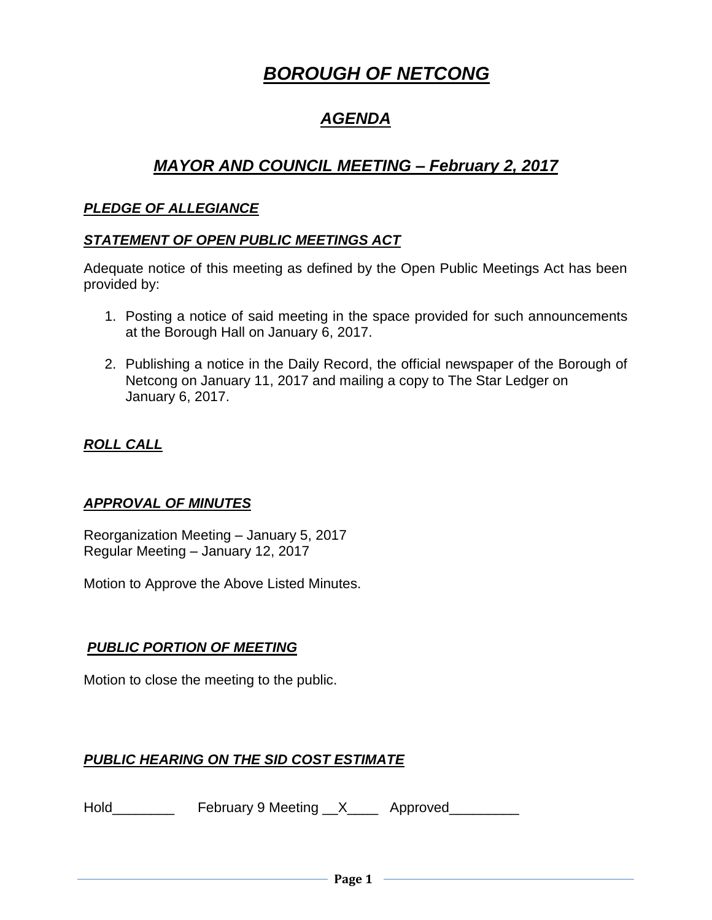# *BOROUGH OF NETCONG*

# *AGENDA*

# *MAYOR AND COUNCIL MEETING – February 2, 2017*

#### *PLEDGE OF ALLEGIANCE*

#### *STATEMENT OF OPEN PUBLIC MEETINGS ACT*

Adequate notice of this meeting as defined by the Open Public Meetings Act has been provided by:

- 1. Posting a notice of said meeting in the space provided for such announcements at the Borough Hall on January 6, 2017.
- 2. Publishing a notice in the Daily Record, the official newspaper of the Borough of Netcong on January 11, 2017 and mailing a copy to The Star Ledger on January 6, 2017.

# *ROLL CALL*

# *APPROVAL OF MINUTES*

Reorganization Meeting – January 5, 2017 Regular Meeting – January 12, 2017

Motion to Approve the Above Listed Minutes.

# *PUBLIC PORTION OF MEETING*

Motion to close the meeting to the public.

# *PUBLIC HEARING ON THE SID COST ESTIMATE*

Hold\_\_\_\_\_\_\_\_\_\_\_\_ February 9 Meeting \_\_X\_\_\_\_\_ Approved\_\_\_\_\_\_\_\_\_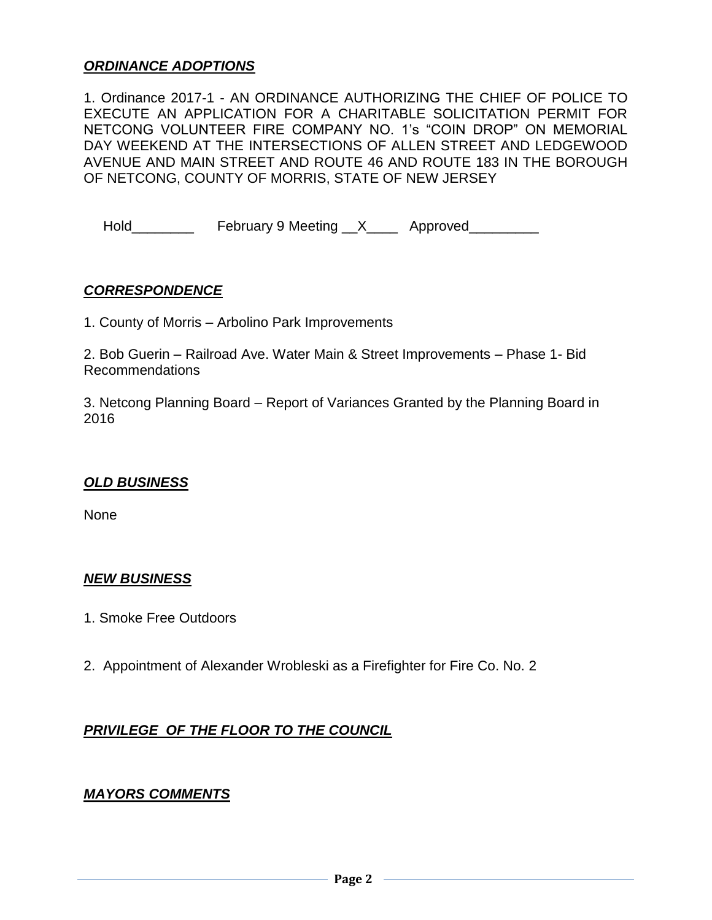#### *ORDINANCE ADOPTIONS*

1. Ordinance 2017-1 - AN ORDINANCE AUTHORIZING THE CHIEF OF POLICE TO EXECUTE AN APPLICATION FOR A CHARITABLE SOLICITATION PERMIT FOR NETCONG VOLUNTEER FIRE COMPANY NO. 1's "COIN DROP" ON MEMORIAL DAY WEEKEND AT THE INTERSECTIONS OF ALLEN STREET AND LEDGEWOOD AVENUE AND MAIN STREET AND ROUTE 46 AND ROUTE 183 IN THE BOROUGH OF NETCONG, COUNTY OF MORRIS, STATE OF NEW JERSEY

Hold\_\_\_\_\_\_\_\_\_\_ February 9 Meeting \_\_X\_\_\_\_ Approved\_\_\_\_\_\_\_\_

#### *CORRESPONDENCE*

1. County of Morris – Arbolino Park Improvements

2. Bob Guerin – Railroad Ave. Water Main & Street Improvements – Phase 1- Bid Recommendations

3. Netcong Planning Board – Report of Variances Granted by the Planning Board in 2016

#### *OLD BUSINESS*

None

#### *NEW BUSINESS*

- 1. Smoke Free Outdoors
- 2. Appointment of Alexander Wrobleski as a Firefighter for Fire Co. No. 2

#### *PRIVILEGE OF THE FLOOR TO THE COUNCIL*

#### *MAYORS COMMENTS*